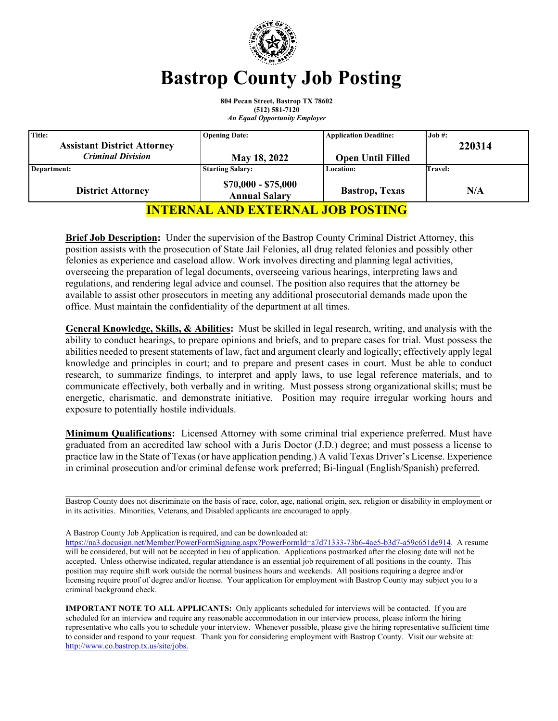

# **Bastrop County Job Posting**

**804 Pecan Street, Bastrop TX 78602 (512) 581-7120** *An Equal Opportunity Employer*

| Title:                                   | <b>Opening Date:</b>                        | <b>Application Deadline:</b> | Job #:  |
|------------------------------------------|---------------------------------------------|------------------------------|---------|
| <b>Assistant District Attorney</b>       |                                             |                              | 220314  |
| <b>Criminal Division</b>                 | May 18, 2022                                | <b>Open Until Filled</b>     |         |
| Department:                              | <b>Starting Salary:</b>                     | <b>Location:</b>             | Travel: |
| <b>District Attorney</b>                 | $$70,000 - $75,000$<br><b>Annual Salary</b> | <b>Bastrop</b> , Texas       | N/A     |
| <b>INTERNAL AND EXTERNAL JOB POSTING</b> |                                             |                              |         |

**Brief Job Description:** Under the supervision of the Bastrop County Criminal District Attorney, this position assists with the prosecution of State Jail Felonies, all drug related felonies and possibly other felonies as experience and caseload allow. Work involves directing and planning legal activities, overseeing the preparation of legal documents, overseeing various hearings, interpreting laws and regulations, and rendering legal advice and counsel. The position also requires that the attorney be available to assist other prosecutors in meeting any additional prosecutorial demands made upon the office. Must maintain the confidentiality of the department at all times.

**General Knowledge, Skills, & Abilities:** Must be skilled in legal research, writing, and analysis with the ability to conduct hearings, to prepare opinions and briefs, and to prepare cases for trial. Must possess the abilities needed to present statements of law, fact and argument clearly and logically; effectively apply legal knowledge and principles in court; and to prepare and present cases in court. Must be able to conduct research, to summarize findings, to interpret and apply laws, to use legal reference materials, and to communicate effectively, both verbally and in writing. Must possess strong organizational skills; must be energetic, charismatic, and demonstrate initiative. Position may require irregular working hours and exposure to potentially hostile individuals.

**Minimum Qualifications:** Licensed Attorney with some criminal trial experience preferred. Must have graduated from an accredited law school with a Juris Doctor (J.D.) degree; and must possess a license to practice law in the State of Texas (or have application pending.) A valid Texas Driver's License. Experience in criminal prosecution and/or criminal defense work preferred; Bi-lingual (English/Spanish) preferred.

\_\_\_\_\_\_\_\_\_\_\_\_\_\_\_\_\_\_\_\_\_\_\_\_\_\_\_\_\_\_\_\_\_\_\_\_\_\_\_\_\_\_\_\_\_\_\_\_\_\_\_\_\_\_\_\_\_\_\_\_\_\_\_\_\_\_\_\_\_\_\_\_\_\_\_\_\_\_\_\_\_\_\_\_\_\_\_\_\_\_\_ Bastrop County does not discriminate on the basis of race, color, age, national origin, sex, religion or disability in employment or in its activities. Minorities, Veterans, and Disabled applicants are encouraged to apply.

A Bastrop County Job Application is required, and can be downloaded at:

[https://na3.docusign.net/Member/PowerFormSigning.aspx?PowerFormId=a7d71333-73b6-4ae5-b3d7-a59c651de914.](https://na3.docusign.net/Member/PowerFormSigning.aspx?PowerFormId=a7d71333-73b6-4ae5-b3d7-a59c651de914) A resume will be considered, but will not be accepted in lieu of application. Applications postmarked after the closing date will not be accepted. Unless otherwise indicated, regular attendance is an essential job requirement of all positions in the county. This position may require shift work outside the normal business hours and weekends. All positions requiring a degree and/or licensing require proof of degree and/or license. Your application for employment with Bastrop County may subject you to a criminal background check.

**IMPORTANT NOTE TO ALL APPLICANTS:** Only applicants scheduled for interviews will be contacted. If you are scheduled for an interview and require any reasonable accommodation in our interview process, please inform the hiring representative who calls you to schedule your interview. Whenever possible, please give the hiring representative sufficient time to consider and respond to your request. Thank you for considering employment with Bastrop County. Visit our website at: [http://www.co.bastrop.tx.us/site/jobs.](http://www.co.bastrop.tx.us/site/jobs)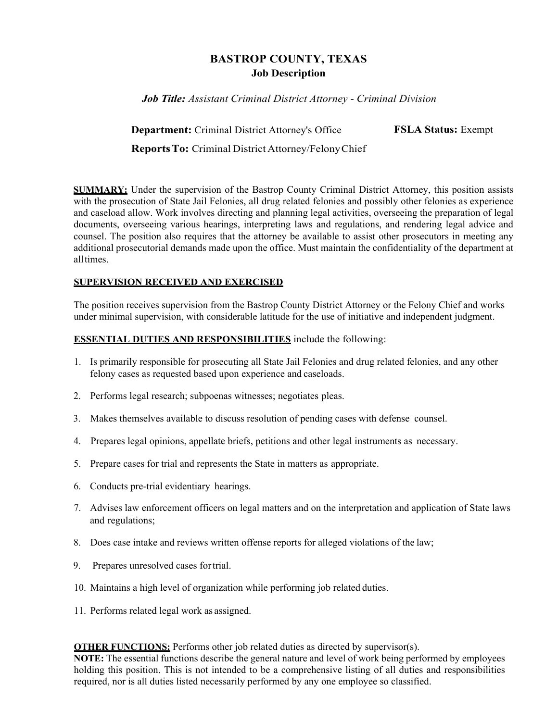## **BASTROP COUNTY, TEXAS Job Description**

*Job Title: Assistant Criminal District Attorney* - *Criminal Division*

**Department:** Criminal District Attorney's Office **Reports To:** Criminal District Attorney/Felony Chief **FSLA Status:** Exempt

**SUMMARY:** Under the supervision of the Bastrop County Criminal District Attorney, this position assists with the prosecution of State Jail Felonies, all drug related felonies and possibly other felonies as experience and caseload allow. Work involves directing and planning legal activities, overseeing the preparation of legal documents, overseeing various hearings, interpreting laws and regulations, and rendering legal advice and counsel. The position also requires that the attorney be available to assist other prosecutors in meeting any additional prosecutorial demands made upon the office. Must maintain the confidentiality of the department at all times.

## **SUPERVISION RECEIVED AND EXERCISED**

The position receives supervision from the Bastrop County District Attorney or the Felony Chief and works under minimal supervision, with considerable latitude for the use of initiative and independent judgment.

## **ESSENTIAL DUTIES AND RESPONSIBILITIES** include the following:

- 1. Is primarily responsible for prosecuting all State Jail Felonies and drug related felonies, and any other felony cases as requested based upon experience and caseloads.
- 2. Performs legal research; subpoenas witnesses; negotiates pleas.
- 3. Makes themselves available to discuss resolution of pending cases with defense counsel.
- 4. Prepares legal opinions, appellate briefs, petitions and other legal instruments as necessary.
- 5. Prepare cases for trial and represents the State in matters as appropriate.
- 6. Conducts pre-trial evidentiary hearings.
- 7. Advises law enforcement officers on legal matters and on the interpretation and application of State laws and regulations;
- 8. Does case intake and reviews written offense reports for alleged violations of the law;
- 9. Prepares unresolved cases for trial.
- 10. Maintains a high level of organization while performing job related duties.
- 11. Performs related legal work as assigned.

**OTHER FUNCTIONS:** Performs other job related duties as directed by supervisor(s).

**NOTE:** The essential functions describe the general nature and level of work being performed by employees holding this position. This is not intended to be a comprehensive listing of all duties and responsibilities required, nor is all duties listed necessarily performed by any one employee so classified.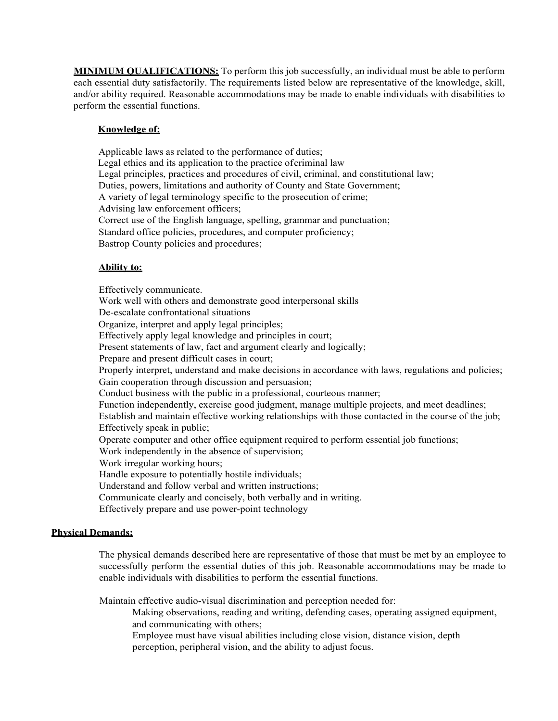**MINIMUM QUALIFICATIONS:** To perform this job successfully, an individual must be able to perform each essential duty satisfactorily. The requirements listed below are representative of the knowledge, skill, and/or ability required. Reasonable accommodations may be made to enable individuals with disabilities to perform the essential functions.

### **Knowledge of:**

Applicable laws as related to the performance of duties; Legal ethics and its application to the practice of criminal law Legal principles, practices and procedures of civil, criminal, and constitutional law; Duties, powers, limitations and authority of County and State Government; A variety of legal terminology specific to the prosecution of crime; Advising law enforcement officers; Correct use of the English language, spelling, grammar and punctuation; Standard office policies, procedures, and computer proficiency; Bastrop County policies and procedures;

### **Ability to:**

Effectively communicate. Work well with others and demonstrate good interpersonal skills De-escalate confrontational situations Organize, interpret and apply legal principles; Effectively apply legal knowledge and principles in court; Present statements of law, fact and argument clearly and logically; Prepare and present difficult cases in court; Properly interpret, understand and make decisions in accordance with laws, regulations and policies; Gain cooperation through discussion and persuasion; Conduct business with the public in a professional, courteous manner; Function independently, exercise good judgment, manage multiple projects, and meet deadlines; Establish and maintain effective working relationships with those contacted in the course of the job; Effectively speak in public; Operate computer and other office equipment required to perform essential job functions; Work independently in the absence of supervision; Work irregular working hours; Handle exposure to potentially hostile individuals; Understand and follow verbal and written instructions; Communicate clearly and concisely, both verbally and in writing. Effectively prepare and use power-point technology

#### **Physical Demands:**

The physical demands described here are representative of those that must be met by an employee to successfully perform the essential duties of this job. Reasonable accommodations may be made to enable individuals with disabilities to perform the essential functions.

Maintain effective audio-visual discrimination and perception needed for:

Making observations, reading and writing, defending cases, operating assigned equipment, and communicating with others;

Employee must have visual abilities including close vision, distance vision, depth perception, peripheral vision, and the ability to adjust focus.